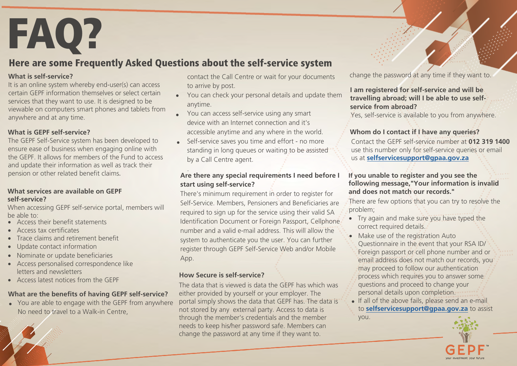**FAQ?**<br>Here are some Frequently Asked Questions about the self-service system

## **What is self-service?**

It is an online system whereby end-user(s) can access certain GEPF information themselves or select certain services that they want to use. It is designed to be viewable on computers smart phones and tablets from anywhere and at any time.

## **What is GEPF self-service?**

The GEPF Self-Service system has been developed to ensure ease of business when engaging online with the GEPF. It allows for members of the Fund to access and update their information as well as track their pension or other related benefit claims.

## **What services are available on GEPF self-service?**

When accessing GEPF self-service portal, members will be able to:

- Access their benefit statements
- Access tax certificates
- Trace claims and retirement benefit
- Update contact information
- Nominate or update beneficiaries
- Access personalised correspondence like letters and newsletters
- Access latest notices from the GEPF

## **What are the benefits of having GEPF self-service?**

• You are able to engage with the GEPF from anywhere No need to travel to a Walk-in Centre,

contact the Call Centre or wait for your documents to arrive by post.

- You can check your personal details and update them anytime.
- You can access self-service using any smart device with an Internet connection and it's accessible anytime and any where in the world.
- Self-service saves you time and effort - no more standing in long queues or waiting to be assisted by a Call Centre agent.

#### . **Are there any special requirements I need before I start using self-service?**

There's minimum requirement in order to register for Self-Service. Members, Pensioners and Beneficiaries are required to sign up for the service using their valid SA Identification Document or Foreign Passport, Cellphone number and a valid e-mail address. This will allow the system to authenticate you the user. You can further register through GEPF Self-Service Web and/or Mobile App.

## **How Secure is self-service?**

The data that is viewed is data the GEPF has which was either provided by yourself or your employer. The portal simply shows the data that GEPF has. The data is not stored by any external party. Access to data is through the member's credentials and the member needs to keep his/her password safe. Members can change the password at any time if they want to.

change the password at any time if they want to.

## **I am registered for self-service and will be travelling abroad; will I be able to use selfservice from abroad?**

Yes, self-service is available to you from anywhere.

## **Whom do I contact if I have any queries?**

Contact the GEPF self-service number at **012 319 1400** use this number only for self-service queries or email us at **selfservicesupport@gpaa.gov.za**

## **If you unable to register and you see the following message,"Your information is invalid and does not match our records."**

There are few options that you can try to resolve the problem;

- Try again and make sure you have typed the correct required details.
- Make use of the registration Auto Questionnaire in the event that your RSA ID/ Foreign passport or cell phone number and or email address does not match our records, you may proceed to follow our authentication process which requires you to answer some questions and proceed to change your personal details upon completion.
	- If all of the above fails, please send an e-mail to **selfservicesupport@gpaa.gov.za** to assist you.

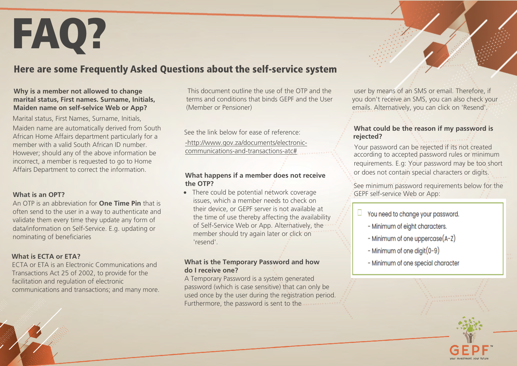## FAQ?

## Here are some Frequently Asked Questions about the self-service system

## **Why is a member not allowed to change marital status, First names. Surname, Initials, Maiden name on self-selvice Web or App?**

Marital status, First Names, Surname, Initials,

Maiden name are automatically derived from South African Home Affairs department particularly for a member with a valid South African ID number. However; should any of the above information be incorrect, a member is requested to go to Home Affairs Department to correct the information.

#### **What is an OPT?**

An OTP is an abbreviation for **One Time Pin** that is often send to the user in a way to authenticate and validate them every time they update any form of data/information on Self-Service. E.g. updating or nominating of beneficiaries

## **What is ECTA or ETA?**

ECTA or ETA is an Electronic Communications and Transactions Act 25 of 2002, to provide for the facilitation and regulation of electronic communications and transactions; and many more.

 This document outline the use of the OTP and the terms and conditions that binds GEPF and the User (Member or Pensioner)

See the link below for ease of reference:

-http://www.gov.za/documents/electroniccommunications-and-transactions-atc#

## **What happens if a member does not receive the OTP?**

• There could be potential network coverage issues, which a member needs to check on their device, or GEPF server is not available at the time of use thereby affecting the availability of Self-Service Web or App. Alternatively, the member should try again later or click on 'resend'.

## **What is the Temporary Password and how do I receive one?**

A Temporary Password is a system generated password (which is case sensitive) that can only be used once by the user during the registration period. Furthermore, the password is sent to the

 user by means of an SMS or email. Therefore, if you don't receive an SMS, you can also check your emails. Alternatively, you can click on 'Resend'.

### **What could be the reason if my password is rejected?**

Your password can be rejected if its not created according to accepted password rules or minimum requirements. E.g: Your password may be too short or does not contain special characters or digits.

See minimum password requirements below for the GEPF self-service Web or App:

- $\Box$  You need to change your password.
	- Minimum of eight characters.
	- Minimum of one uppercase(A-Z)
	- Minimum of one digit $(0-9)$
	- Minimum of one special character

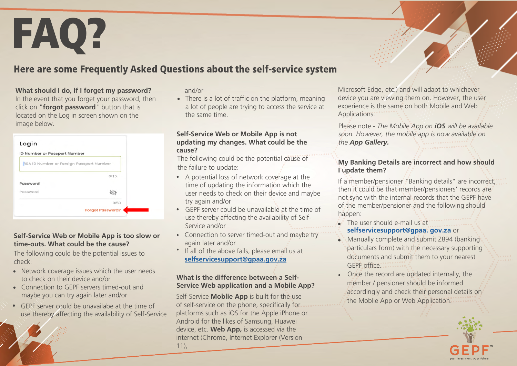## FAQ?

## Here are some Frequently Asked Questions about the self-service system

## **What should I do, if I forget my password?**

In the event that you forget your password, then click on "**forgot password**" button that is located on the Log in screen shown on the image below.

| ID Number or Passport Number |                                          |
|------------------------------|------------------------------------------|
|                              | RSA ID Number or Foreign Passport Number |
|                              | 0/15                                     |
| Password                     |                                          |
| Password                     |                                          |
|                              | 0/50                                     |
|                              | <b>Forgot Password?</b>                  |

## **Self-Service Web or Mobile App is too slow or time-outs. What could be the cause?**

The following could be the potential issues to check:

- Network coverage issues which the user needs to check on their device and/or
- Connection to GEPF servers timed-out and maybe you can try again later and/or
- GEPF server could be unavailabe at the time of use thereby affecting the availability of Self-Service

#### and/or

• There is a lot of traffic on the platform, meaning a lot of people are trying to access the service at the same time.

#### **Self-Service Web or Mobile App is not updating my changes. What could be the cause?**

 the failure to update: The following could be the potential cause of

- A potential loss of network coverage at the time of updating the information which the user needs to check on their device and maybe try again and/or
- GEPF server could be unavailable at the time of use thereby affecting the availability of Self-Service and/or
- Connection to server timed-out and maybe try again later and/or
- If all of the above fails, please email us at **selfservicesupport@gpaa.gov.za**

## **What is the difference between a Self-Service Web application and a Mobile App?**

Self-Service **Moblie App** is built for the use of self-service on the phone, specifically for platforms such as iOS for the Apple iPhone or Android for the likes of Samsung, Huawei device, etc. **Web App,** is accessed via the internet (Chrome, Internet Explorer (Version 11),

Microsoft Edge, etc.) and will adapt to whichever device you are viewing them on. However, the user experience is the same on both Mobile and Web Applications.

Please note - *The Mobile App on iOS will be available soon. However, the mobile app is now available on the App Gallery.*

## **My Banking Details are incorrect and how should I update them?**

If a member/pensioner "Banking details" are incorrect, then it could be that member/pensioners' records are not sync with the internal records that the GEPF have of the member/pensioner and the following should happen:

- **selfservicesupport@gpaa. gov.za** or • The user should e-mail us at
- Manually complete and submit Z894 (banking particulars form) with the necessary supporting documents and submit them to your nearest GEPF office.
- Once the record are updated internally, the •member / pensioner should be informed accordingly and check their personal details on the Moblie App or Web Application.